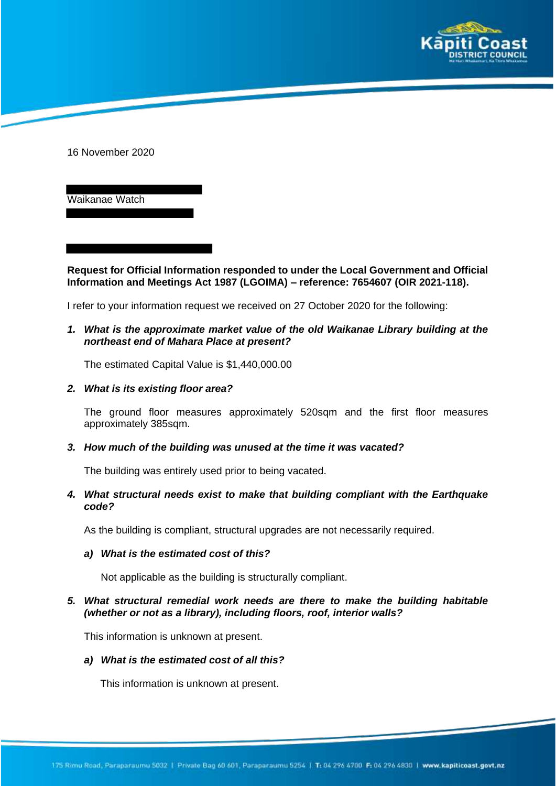

16 November 2020

Waikanae Watch

**Request for Official Information responded to under the Local Government and Official Information and Meetings Act 1987 (LGOIMA) – reference: 7654607 (OIR 2021-118).** 

I refer to your information request we received on 27 October 2020 for the following:

### *1. What is the approximate market value of the old Waikanae Library building at the northeast end of Mahara Place at present?*

The estimated Capital Value is \$1,440,000.00

#### *2. What is its existing floor area?*

The ground floor measures approximately 520sqm and the first floor measures approximately 385sqm.

#### *3. How much of the building was unused at the time it was vacated?*

The building was entirely used prior to being vacated.

# *4. What structural needs exist to make that building compliant with the Earthquake code?*

As the building is compliant, structural upgrades are not necessarily required.

#### *a) What is the estimated cost of this?*

Not applicable as the building is structurally compliant.

# *5. What structural remedial work needs are there to make the building habitable (whether or not as a library), including floors, roof, interior walls?*

This information is unknown at present.

#### *a) What is the estimated cost of all this?*

This information is unknown at present.